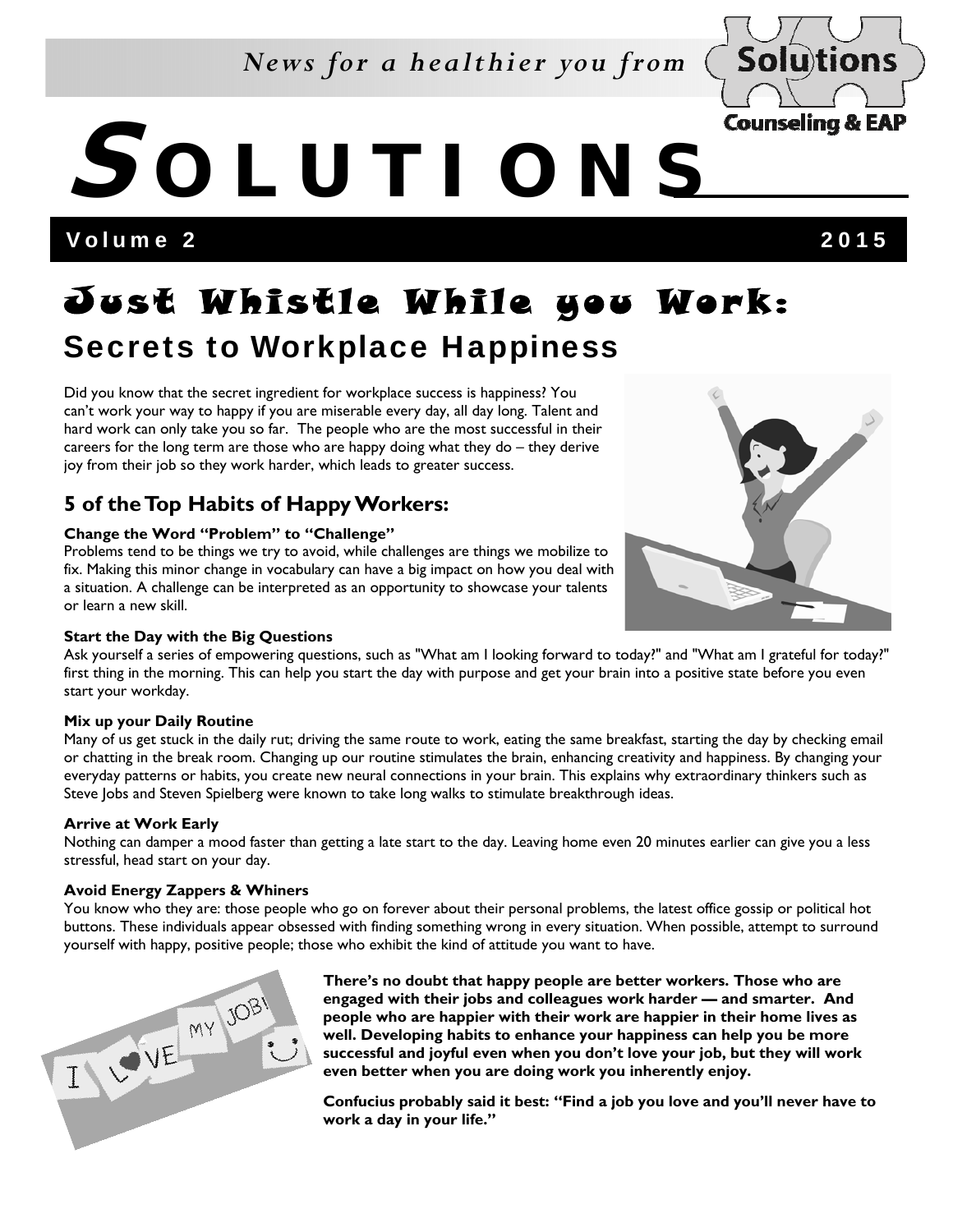## *News for a healthier you from*



Volume 2 2015

## J ust Whistle While you Work: Secrets to Workplace Happiness

Did you know that the secret ingredient for workplace success is happiness? You can't work your way to happy if you are miserable every day, all day long. Talent and hard work can only take you so far. The people who are the most successful in their careers for the long term are those who are happy doing what they do – they derive joy from their job so they work harder, which leads to greater success.

### **5 of the Top Habits of Happy Workers:**

#### **Change the Word "Problem" to "Challenge"**

Problems tend to be things we try to avoid, while challenges are things we mobilize to fix. Making this minor change in vocabulary can have a big impact on how you deal with a situation. A challenge can be interpreted as an opportunity to showcase your talents or learn a new skill.

#### **Start the Day with the Big Questions**



Ask yourself a series of empowering questions, such as "What am I looking forward to today?" and "What am I grateful for today?" first thing in the morning. This can help you start the day with purpose and get your brain into a positive state before you even start your workday.

#### **Mix up your Daily Routine**

Many of us get stuck in the daily rut; driving the same route to work, eating the same breakfast, starting the day by checking email or chatting in the break room. Changing up our routine stimulates the brain, enhancing creativity and happiness. By changing your everyday patterns or habits, you create new neural connections in your brain. This explains why extraordinary thinkers such as Steve Jobs and Steven Spielberg were known to take long walks to stimulate breakthrough ideas.

#### **Arrive at Work Early**

Nothing can damper a mood faster than getting a late start to the day. Leaving home even 20 minutes earlier can give you a less stressful, head start on your day.

#### **Avoid Energy Zappers & Whiners**

You know who they are: those people who go on forever about their personal problems, the latest office gossip or political hot buttons. These individuals appear obsessed with finding something wrong in every situation. When possible, attempt to surround yourself with happy, positive people; those who exhibit the kind of attitude you want to have.



**There's no doubt that happy people are better workers. Those who are engaged with their jobs and colleagues work harder — and smarter. And people who are happier with their work are happier in their home lives as well. Developing habits to enhance your happiness can help you be more successful and joyful even when you don't love your job, but they will work even better when you are doing work you inherently enjoy.** 

**Confucius probably said it best: "Find a job you love and you'll never have to work a day in your life."**